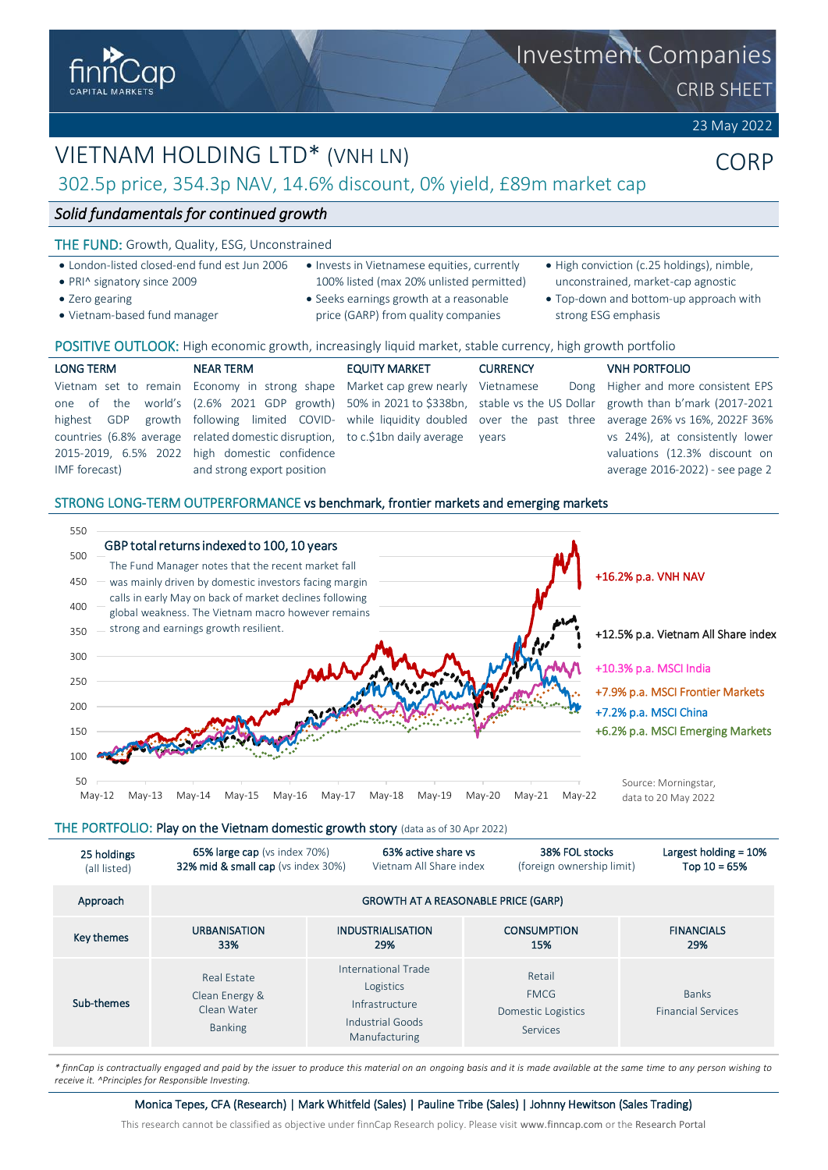

# VIETNAM HOLDING LTD\* (VNH LN)

# 302.5p price, 354.3p NAV, 14.6% discount, 0% yield, £89m market cap

## *Solid fundamentals for continued growth*

## THE FUND: Growth, Quality, ESG, Unconstrained

- London-listed closed-end fund est Jun 2006
- PRI^ signatory since 2009
- Zero gearing
- Vietnam-based fund manager
- Invests in Vietnamese equities, currently 100% listed (max 20% unlisted permitted)
- Seeks earnings growth at a reasonable price (GARP) from quality companies
- High conviction (c.25 holdings), nimble, unconstrained, market-cap agnostic
- Top-down and bottom-up approach with strong ESG emphasis

## POSITIVE OUTLOOK: High economic growth, increasingly liquid market, stable currency, high growth portfolio

| <b>LONG TERM</b> | <b>NEAR TERM</b>                                                                | <b>EQUITY MARKET</b> | <b>CURRENCY</b> | <b>VNH PORTFOLIO</b>                                                                                                    |
|------------------|---------------------------------------------------------------------------------|----------------------|-----------------|-------------------------------------------------------------------------------------------------------------------------|
|                  | Vietnam set to remain Economy in strong shape Market cap grew nearly Vietnamese |                      |                 | Dong Higher and more consistent EPS                                                                                     |
|                  |                                                                                 |                      |                 | one of the world's (2.6% 2021 GDP growth) 50% in 2021 to \$338bn, stable vs the US Dollar growth than b'mark (2017-2021 |
| highest GDP      |                                                                                 |                      |                 | growth following limited COVID- while liquidity doubled over the past three average 26% vs 16%, 2022F 36%               |
|                  | countries (6.8% average related domestic disruption, to c.\$1bn daily average   |                      | vears           | vs 24%), at consistently lower                                                                                          |
|                  | 2015-2019, 6.5% 2022 high domestic confidence                                   |                      |                 | valuations (12.3% discount on                                                                                           |
| IMF forecast)    | and strong export position                                                      |                      |                 | average 2016-2022) - see page 2                                                                                         |
|                  |                                                                                 |                      |                 |                                                                                                                         |

## STRONG LONG-TERM OUTPERFORMANCE vs benchmark, frontier markets and emerging markets



THE PORTFOLIO: Play on the Vietnam domestic growth story (data as of 30 Apr 2022)

| 25 holdings  | <b>65% large cap</b> (vs index 70%)                            | 63% active share vs                                                                     | 38% FOL stocks                                          | Largest holding $= 10%$                   |
|--------------|----------------------------------------------------------------|-----------------------------------------------------------------------------------------|---------------------------------------------------------|-------------------------------------------|
| (all listed) | 32% mid & small cap (vs index 30%)                             | Vietnam All Share index                                                                 | (foreign ownership limit)                               | Top $10 = 65%$                            |
| Approach     |                                                                |                                                                                         | <b>GROWTH AT A REASONABLE PRICE (GARP)</b>              |                                           |
| Key themes   | <b>URBANISATION</b>                                            | <b>INDUSTRIALISATION</b>                                                                | <b>CONSUMPTION</b>                                      | <b>FINANCIALS</b>                         |
|              | 33%                                                            | 29%                                                                                     | 15%                                                     | 29%                                       |
| Sub-themes   | Real Estate<br>Clean Energy &<br>Clean Water<br><b>Banking</b> | International Trade<br>Logistics<br>Infrastructure<br>Industrial Goods<br>Manufacturing | Retail<br><b>FMCG</b><br>Domestic Logistics<br>Services | <b>Banks</b><br><b>Financial Services</b> |

*\* finnCap is contractually engaged and paid by the issuer to produce this material on an ongoing basis and it is made available at the same time to any person wishing to receive it. ^Principles for Responsible Investing.*

Monica Tepes, CFA (Research) | Mark Whitfeld (Sales) | Pauline Tribe (Sales) | Johnny Hewitson (Sales Trading)

This research cannot be classified as objective under finnCap Research policy. Please visit [www.finncap.com](http://www.finncap.com/) or the [Research Portal](https://www.finncap.com/research-portal)

Investment Companies

CRIB SHEET

23 May 2022

CORP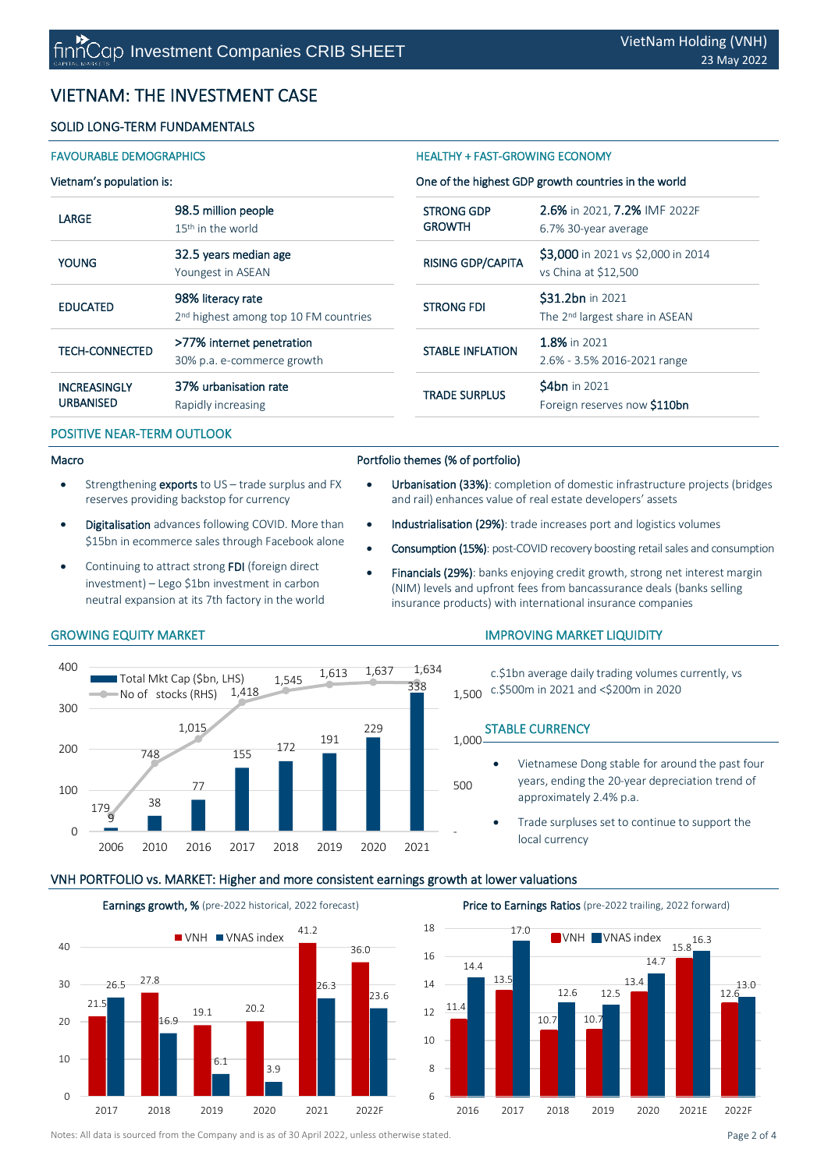# VIETNAM: THE INVESTMENT CASE

## SOLID LONG-TERM FUNDAMENTALS

## Vietnam's population is:

## LARGE 98.5 million people 15<sup>th</sup> in the world YOUNG 32.5 years median age Youngest in ASEAN EDUCATED 98% literacy rate 2<sup>nd</sup> highest among top 10 FM countries TECH-CONNECTED >77% internet penetration 30% p.a. e-commerce growth **INCREASINGLY** URBANISED 37% urbanisation rate Rapidly increasing

## POSITIVE NEAR-TERM OUTLOOK

## Macro

- Strengthening exports to US trade surplus and FX reserves providing backstop for currency
- Digitalisation advances following COVID. More than \$15bn in ecommerce sales through Facebook alone
- Continuing to attract strong FDI (foreign direct investment) – Lego \$1bn investment in carbon neutral expansion at its 7th factory in the world

## FAVOURABLE DEMOGRAPHICS **HEALTHY + FAST-GROWING ECONOMY**

## One of the highest GDP growth countries in the world

| <b>STRONG GDP</b>        | 2.6% in 2021, 7.2% IMF 2022F                                   |  |  |
|--------------------------|----------------------------------------------------------------|--|--|
| <b>GROWTH</b>            | 6.7% 30-year average                                           |  |  |
| <b>RISING GDP/CAPITA</b> | \$3,000 in 2021 vs \$2,000 in 2014<br>vs China at \$12,500     |  |  |
| <b>STRONG FDI</b>        | \$31.2bn in 2021<br>The 2 <sup>nd</sup> largest share in ASEAN |  |  |
| <b>STABLE INFLATION</b>  | 1.8% in 2021                                                   |  |  |
|                          | 2.6% - 3.5% 2016-2021 range                                    |  |  |
| <b>TRADE SURPLUS</b>     | <b>\$4bn</b> in 2021                                           |  |  |
|                          | Foreign reserves now \$110bn                                   |  |  |

## Portfolio themes (% of portfolio)

- Urbanisation (33%): completion of domestic infrastructure projects (bridges and rail) enhances value of real estate developers' assets
- Industrialisation (29%): trade increases port and logistics volumes
- Consumption (15%): post-COVID recovery boosting retail sales and consumption
	- Financials (29%): banks enjoying credit growth, strong net interest margin (NIM) levels and upfront fees from bancassurance deals (banks selling insurance products) with international insurance companies

### 9 38 77 <sup>155</sup> <sup>172</sup> <sup>191</sup>  $229$ 338 179 748 1,015 1,418  $1,545$   $1,613$   $1,637$   $1,634$ <br> $338$  - 500 1,000  $\Omega$ 100 200 300 400 2006 2010 2016 2017 2018 2019 2020 2021 Total Mkt Cap (Sbn, LHS) No of stocks (RHS)

## IMPROVING MARKET LIQUIDITY

c.\$1bn average daily trading volumes currently, vs c.\$500m in 2021 and <\$200m in 2020 1,500

## STABLE CURRENCY

- Vietnamese Dong stable for around the past four years, ending the 20-year depreciation trend of approximately 2.4% p.a.
	- Trade surpluses set to continue to support the local currency

## VNH PORTFOLIO vs. MARKET: Higher and more consistent earnings growth at lower valuations





Notes: All data is sourced from the Company and is as of 30 April 2022, unless otherwise stated. Page 2 of 4

## GROWING EQUITY MARKET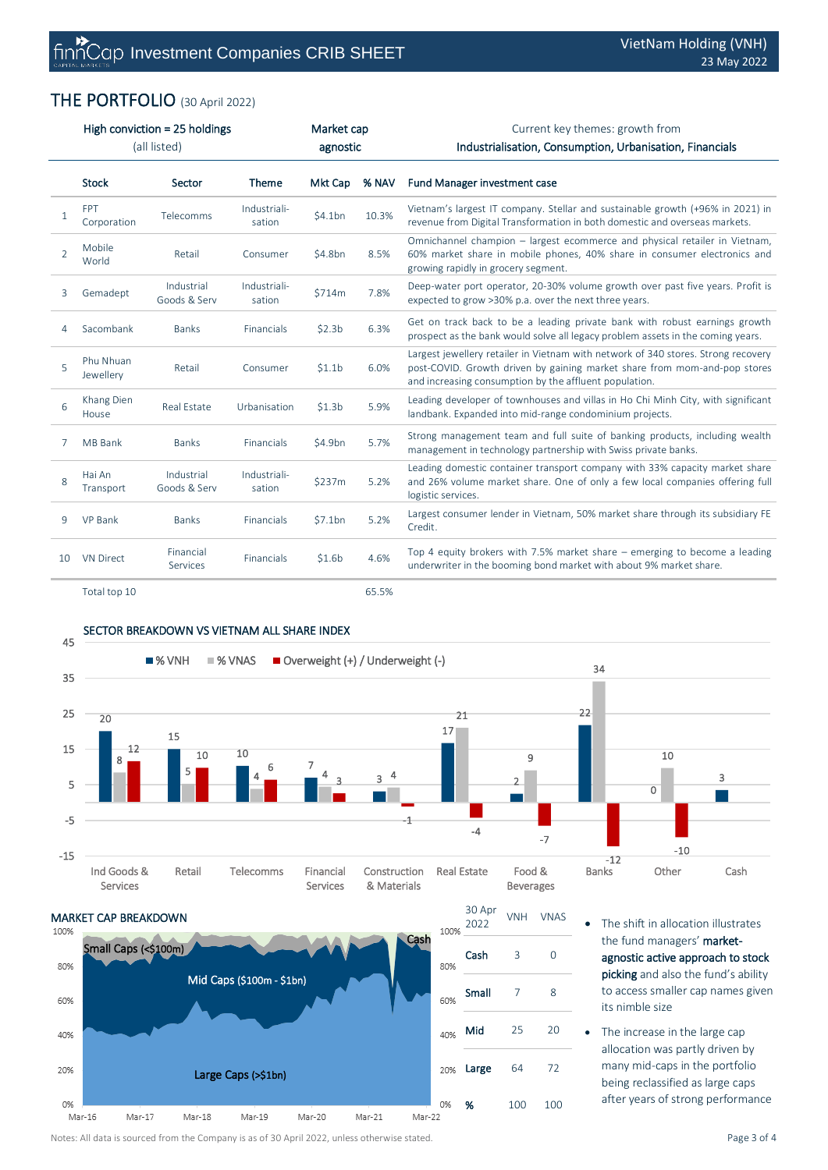# THE PORTFOLIO (30 April 2022)

|                | High conviction = 25 holdings<br>(all listed) |                            | Market cap<br>agnostic |                    | Current key themes: growth from<br>Industrialisation, Consumption, Urbanisation, Financials |                                                                                                                                                                                                                          |
|----------------|-----------------------------------------------|----------------------------|------------------------|--------------------|---------------------------------------------------------------------------------------------|--------------------------------------------------------------------------------------------------------------------------------------------------------------------------------------------------------------------------|
|                | <b>Stock</b>                                  | Sector                     | Theme                  | Mkt Cap            | % NAV                                                                                       | <b>Fund Manager investment case</b>                                                                                                                                                                                      |
| 1              | <b>FPT</b><br>Corporation                     | Telecomms                  | Industriali-<br>sation | \$4.1bn            | 10.3%                                                                                       | Vietnam's largest IT company. Stellar and sustainable growth (+96% in 2021) in<br>revenue from Digital Transformation in both domestic and overseas markets.                                                             |
| $\overline{2}$ | Mobile<br>World                               | Retail                     | Consumer               | \$4.8bn            | 8.5%                                                                                        | Omnichannel champion - largest ecommerce and physical retailer in Vietnam,<br>60% market share in mobile phones, 40% share in consumer electronics and<br>growing rapidly in grocery segment.                            |
| 3              | Gemadept                                      | Industrial<br>Goods & Serv | Industriali-<br>sation | \$714m             | 7.8%                                                                                        | Deep-water port operator, 20-30% volume growth over past five years. Profit is<br>expected to grow >30% p.a. over the next three years.                                                                                  |
| 4              | Sacombank                                     | <b>Banks</b>               | Financials             | \$2.3 <sub>b</sub> | 6.3%                                                                                        | Get on track back to be a leading private bank with robust earnings growth<br>prospect as the bank would solve all legacy problem assets in the coming years.                                                            |
| $\overline{5}$ | Phu Nhuan<br>Jewellery                        | Retail                     | Consumer               | \$1.1 <sub>b</sub> | 6.0%                                                                                        | Largest jewellery retailer in Vietnam with network of 340 stores. Strong recovery<br>post-COVID. Growth driven by gaining market share from mom-and-pop stores<br>and increasing consumption by the affluent population. |
| 6              | Khang Dien<br>House                           | Real Estate                | Urbanisation           | \$1.3 <sub>b</sub> | 5.9%                                                                                        | Leading developer of townhouses and villas in Ho Chi Minh City, with significant<br>landbank. Expanded into mid-range condominium projects.                                                                              |
| 7              | <b>MB Bank</b>                                | <b>Banks</b>               | Financials             | \$4.9bn            | 5.7%                                                                                        | Strong management team and full suite of banking products, including wealth<br>management in technology partnership with Swiss private banks.                                                                            |
| 8              | Hai An<br>Transport                           | Industrial<br>Goods & Serv | Industriali-<br>sation | \$237m             | 5.2%                                                                                        | Leading domestic container transport company with 33% capacity market share<br>and 26% volume market share. One of only a few local companies offering full<br>logistic services.                                        |
| 9              | <b>VP Bank</b>                                | <b>Banks</b>               | Financials             | \$7.1bn            | 5.2%                                                                                        | Largest consumer lender in Vietnam, 50% market share through its subsidiary FE<br>Credit.                                                                                                                                |
| 10             | <b>VN Direct</b>                              | Financial<br>Services      | Financials             | \$1.6 <sub>b</sub> | 4.6%                                                                                        | Top 4 equity brokers with 7.5% market share $-$ emerging to become a leading<br>underwriter in the booming bond market with about 9% market share.                                                                       |
|                | Total top 10                                  |                            |                        |                    | 65.5%                                                                                       |                                                                                                                                                                                                                          |

# SECTOR BREAKDOWN VS VIETNAM ALL SHARE INDEX





- The shift in allocation illustrates the fund managers' marketagnostic active approach to stock picking and also the fund's ability to access smaller cap names given its nimble size
- The increase in the large cap allocation was partly driven by many mid-caps in the portfolio being reclassified as large caps after years of strong performance

Notes: All data is sourced from the Company is as of 30 April 2022, unless otherwise stated. Page 3 of 4